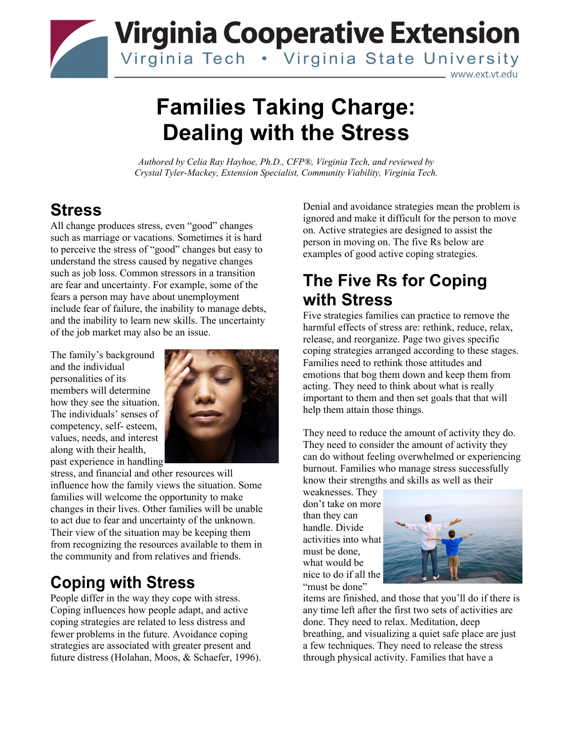

# **Families Taking Charge: Dealing with the Stress**

*Authored by Celia Ray Hayhoe, Ph.D., CFP®, Virginia Tech, and reviewed by Crystal Tyler-Mackey, Extension Specialist, Community Viability, Virginia Tech.* 

### **Stress**

All change produces stress, even "good" changes such as marriage or vacations. Sometimes it is hard to perceive the stress of "good" changes but easy to understand the stress caused by negative changes such as job loss. Common stressors in a transition are fear and uncertainty. For example, some of the fears a person may have about unemployment include fear of failure, the inability to manage debts, and the inability to learn new skills. The uncertainty of the job market may also be an issue.

The family's background and the individual personalities of its members will determine how they see the situation. The individuals' senses of competency, self‐ esteem, values, needs, and interest along with their health, past experience in handling



stress, and financial and other resources will influence how the family views the situation. Some families will welcome the opportunity to make changes in their lives. Other families will be unable to act due to fear and uncertainty of the unknown. Their view of the situation may be keeping them from recognizing the resources available to them in the community and from relatives and friends.

# **Coping with Stress**

People differ in the way they cope with stress. Coping influences how people adapt, and active coping strategies are related to less distress and fewer problems in the future. Avoidance coping strategies are associated with greater present and future distress (Holahan, Moos, & Schaefer, 1996). Denial and avoidance strategies mean the problem is ignored and make it difficult for the person to move on. Active strategies are designed to assist the person in moving on. The five Rs below are examples of good active coping strategies.

## **The Five Rs for Coping with Stress**

Five strategies families can practice to remove the harmful effects of stress are: rethink, reduce, relax, release, and reorganize. Page two gives specific coping strategies arranged according to these stages. Families need to rethink those attitudes and emotions that bog them down and keep them from acting. They need to think about what is really important to them and then set goals that that will help them attain those things.

They need to reduce the amount of activity they do. They need to consider the amount of activity they can do without feeling overwhelmed or experiencing burnout. Families who manage stress successfully know their strengths and skills as well as their

weaknesses. They don't take on more than they can handle. Divide activities into what must be done, what would be nice to do if all the "must be done"



items are finished, and those that you'll do if there is any time left after the first two sets of activities are done. They need to relax. Meditation, deep breathing, and visualizing a quiet safe place are just a few techniques. They need to release the stress through physical activity. Families that have a